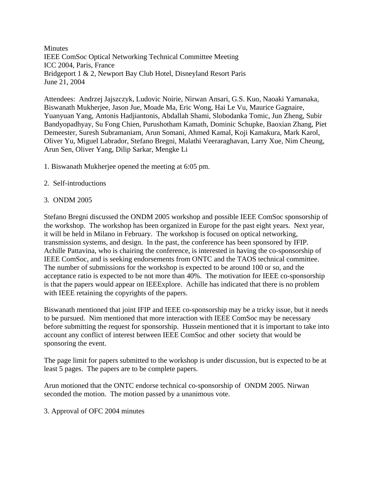**Minutes** IEEE ComSoc Optical Networking Technical Committee Meeting ICC 2004, Paris, France Bridgeport 1 & 2, Newport Bay Club Hotel, Disneyland Resort Paris June 21, 2004

Attendees: Andrzej Jajszczyk, Ludovic Noirie, Nirwan Ansari, G.S. Kuo, Naoaki Yamanaka, Biswanath Mukherjee, Jason Jue, Moade Ma, Eric Wong, Hai Le Vu, Maurice Gagnaire, Yuanyuan Yang, Antonis Hadjiantonis, Abdallah Shami, Slobodanka Tomic, Jun Zheng, Subir Bandyopadhyay, Su Fong Chien, Purushotham Kamath, Dominic Schupke, Baoxian Zhang, Piet Demeester, Suresh Subramaniam, Arun Somani, Ahmed Kamal, Koji Kamakura, Mark Karol, Oliver Yu, Miguel Labrador, Stefano Bregni, Malathi Veeraraghavan, Larry Xue, Nim Cheung, Arun Sen, Oliver Yang, Dilip Sarkar, Mengke Li

- 1. Biswanath Mukherjee opened the meeting at 6:05 pm.
- 2. Self-introductions

## 3. ONDM 2005

Stefano Bregni discussed the ONDM 2005 workshop and possible IEEE ComSoc sponsorship of the workshop. The workshop has been organized in Europe for the past eight years. Next year, it will be held in Milano in February. The workshop is focused on optical networking, transmission systems, and design. In the past, the conference has been sponsored by IFIP. Achille Pattavina, who is chairing the conference, is interested in having the co-sponsorship of IEEE ComSoc, and is seeking endorsements from ONTC and the TAOS technical committee. The number of submissions for the workshop is expected to be around 100 or so, and the acceptance ratio is expected to be not more than 40%. The motivation for IEEE co-sponsorship is that the papers would appear on IEEExplore. Achille has indicated that there is no problem with IEEE retaining the copyrights of the papers.

Biswanath mentioned that joint IFIP and IEEE co-sponsorship may be a tricky issue, but it needs to be pursued. Nim mentioned that more interaction with IEEE ComSoc may be necessary before submitting the request for sponsorship. Hussein mentioned that it is important to take into account any conflict of interest between IEEE ComSoc and other society that would be sponsoring the event.

The page limit for papers submitted to the workshop is under discussion, but is expected to be at least 5 pages. The papers are to be complete papers.

Arun motioned that the ONTC endorse technical co-sponsorship of ONDM 2005. Nirwan seconded the motion. The motion passed by a unanimous vote.

3. Approval of OFC 2004 minutes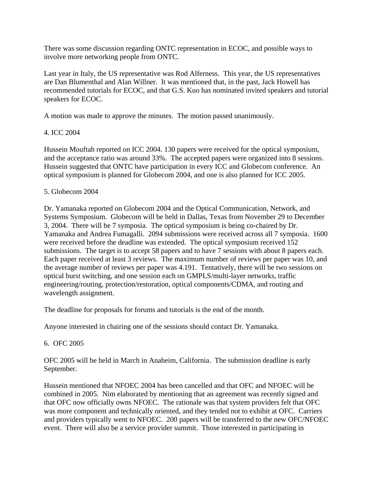There was some discussion regarding ONTC representation in ECOC, and possible ways to involve more networking people from ONTC.

Last year in Italy, the US representative was Rod Alferness. This year, the US representatives are Dan Blumenthal and Alan Willner. It was mentioned that, in the past, Jack Howell has recommended tutorials for ECOC, and that G.S. Kuo has nominated invited speakers and tutorial speakers for ECOC.

A motion was made to approve the minutes. The motion passed unanimously.

## 4. ICC 2004

Hussein Mouftah reported on ICC 2004. 130 papers were received for the optical symposium, and the acceptance ratio was around 33%. The accepted papers were organized into 8 sessions. Hussein suggested that ONTC have participation in every ICC and Globecom conference. An optical symposium is planned for Globecom 2004, and one is also planned for ICC 2005.

## 5. Globecom 2004

Dr. Yamanaka reported on Globecom 2004 and the Optical Communication, Network, and Systems Symposium. Globecom will be held in Dallas, Texas from November 29 to December 3, 2004. There will be 7 symposia. The optical symposium is being co-chaired by Dr. Yamanaka and Andrea Fumagalli. 2094 submissions were received across all 7 symposia. 1600 were received before the deadline was extended. The optical symposium received 152 submissions. The target is to accept 58 papers and to have 7 sessions with about 8 papers each. Each paper received at least 3 reviews. The maximum number of reviews per paper was 10, and the average number of reviews per paper was 4.191. Tentatively, there will be two sessions on optical burst switching, and one session each on GMPLS/multi-layer networks, traffic engineering/routing, protection/restoration, optical components/CDMA, and routing and wavelength assignment.

The deadline for proposals for forums and tutorials is the end of the month.

Anyone interested in chairing one of the sessions should contact Dr. Yamanaka.

## 6. OFC 2005

OFC 2005 will be held in March in Anaheim, California. The submission deadline is early September.

Hussein mentioned that NFOEC 2004 has been cancelled and that OFC and NFOEC will be combined in 2005. Nim elaborated by mentioning that an agreement was recently signed and that OFC now officially owns NFOEC. The rationale was that system providers felt that OFC was more component and technically oriented, and they tended not to exhibit at OFC. Carriers and providers typically went to NFOEC. 200 papers will be transferred to the new OFC/NFOEC event. There will also be a service provider summit. Those interested in participating in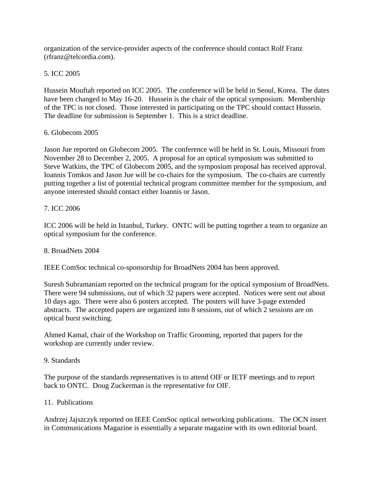organization of the service-provider aspects of the conference should contact Rolf Franz (rfranz@telcordia.com).

# 5. ICC 2005

Hussein Mouftah reported on ICC 2005. The conference will be held in Seoul, Korea. The dates have been changed to May 16-20. Hussein is the chair of the optical symposium. Membership of the TPC is not closed. Those interested in participating on the TPC should contact Hussein. The deadline for submission is September 1. This is a strict deadline.

## 6. Globecom 2005

Jason Jue reported on Globecom 2005. The conference will be held in St. Louis, Missouri from November 28 to December 2, 2005. A proposal for an optical symposium was submitted to Steve Watkins, the TPC of Globecom 2005, and the symposium proposal has received approval. Ioannis Tomkos and Jason Jue will be co-chairs for the symposium. The co-chairs are currently putting together a list of potential technical program committee member for the symposium, and anyone interested should contact either Ioannis or Jason.

## 7. ICC 2006

ICC 2006 will be held in Istanbul, Turkey. ONTC will be putting together a team to organize an optical symposium for the conference.

### 8. BroadNets 2004

IEEE ComSoc technical co-sponsorship for BroadNets 2004 has been approved.

Suresh Subramaniam reported on the technical program for the optical symposium of BroadNets. There were 94 submissions, out of which 32 papers were accepted. Notices were sent out about 10 days ago. There were also 6 posters accepted. The posters will have 3-page extended abstracts. The accepted papers are organized into 8 sessions, out of which 2 sessions are on optical burst switching.

Ahmed Kamal, chair of the Workshop on Traffic Grooming, reported that papers for the workshop are currently under review.

### 9. Standards

The purpose of the standards representatives is to attend OIF or IETF meetings and to report back to ONTC. Doug Zuckerman is the representative for OIF.

### 11. Publications

Andrzej Jajszczyk reported on IEEE ComSoc optical networking publications. The OCN insert in Communications Magazine is essentially a separate magazine with its own editorial board.